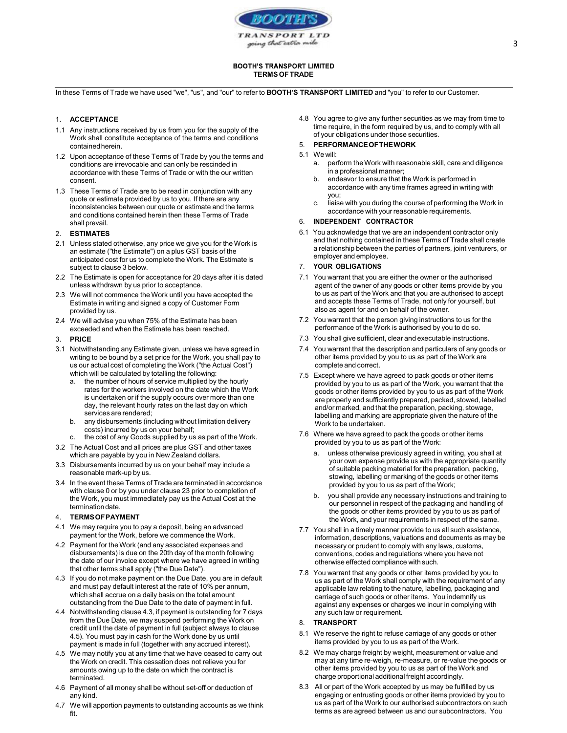

## **BOOTH'S TRANSPORT LIMITED** TERMS OF TRADE

In these Terms of Trade we have used "we", "us", and "our" to refer to BOOTH'S TRANSPORT LIMITED and "you" to refer to our Customer.

# 1. ACCEPTANCE

- 1.1 Any instructions received by us from you for the supply of the Work shall constitute acceptance of the terms and conditions contained herein.
- 1.2 Upon acceptance of these Terms of Trade by you the terms and 5.1 We will:<br>conditions are irrevocable and can only be rescinded in a. per conditions are irrevocable and can only be rescinded in accordance with these Terms of Trade or with the our written consent.
- 1.3 These Terms of Trade are to be read in conjunction with any executive to the contract of the volume of the volume of the volume of the volume of the volume of the volume of the volume of the volume of the volume of the quote or estimate provided by us to you. If there are any inconsistencies between our quote or estimate and the terms and conditions contained herein then these Terms of Trade shall prevail.

# 2. ESTIMATES

- 2.1 Unless stated otherwise, any price we give you for the Work is an estimate ("the Estimate") on a plus GST basis of the anticipated cost for us to complete the Work. The Estimate is subject to clause 3 below.
- 2.2 The Estimate is open for acceptance for 20 days after it is dated unless withdrawn by us prior to acceptance.
- 2.3 We will not commence the Work until you have accepted the Estimate in writing and signed a copy of Customer Form provided by us.
- 2.4 We will advise you when 75% of the Estimate has been exceeded and when the Estimate has been reached.

### 3. PRICE

- 3.1 Notwithstanding any Estimate given, unless we have agreed in writing to be bound by a set price for the Work, you shall pay to us our actual cost of completing the Work ("the Actual Cost") which will be calculated by totalling the following:<br>a. the number of hours of service multiplied by the hourly
	- rates for the workers involved on the date which the Work is undertaken or if the supply occurs over more than one day, the relevant hourly rates on the last day on which services are rendered;
	- b. any disbursements (including without limitation delivery
	-
- 3.2 The Actual Cost and all prices are plus GST and other taxes<br>a curbish are pavable by you in New Zooland dellare which are payable by you in New Zealand dollars.
- 3.3 Disbursements incurred by us on your behalf may include a reasonable mark-up by us.
- 3.4 In the event these Terms of Trade are terminated in accordance with clause 0 or by you under clause 23 prior to completion of the Work, you must immediately pay us the Actual Cost at the termination date.

#### 4. TERMS OF PAYMENT

- 4.1 We may require you to pay a deposit, being an advanced payment for the Work, before we commence the Work.
- 4.2 Payment for the Work (and any associated expenses and disbursements) is due on the 20th day of the month following the date of our invoice except where we have agreed in writing that other terms shall apply ("the Due Date").
- 4.3 If you do not make payment on the Due Date, you are in default and must pay default interest at the rate of 10% per annum, which shall accrue on a daily basis on the total amount outstanding from the Due Date to the date of payment in full.
- 4.4 Notwithstanding clause 4.3, if payment is outstanding for 7 days from the Due Date, we may suspend performing the Work on credit until the date of payment in full (subject always to clause 4.5). You must pay in cash for the Work done by us until payment is made in full (together with any accrued interest).
- 4.5 We may notify you at any time that we have ceased to carry out the Work on credit. This cessation does not relieve you for amounts owing up to the date on which the contract is terminated.
- 4.6 Payment of all money shall be without set-off or deduction of any kind.
- 4.7 We will apportion payments to outstanding accounts as we think fit.

4.8 You agree to give any further securities as we may from time to time require, in the form required by us, and to comply with all of your obligations under those securities.

# 5. PERFORMANCE OF THE WORK

- - perform the Work with reasonable skill, care and diligence in a professional manner;
	- b. endeavor to ensure that the Work is performed in accordance with any time frames agreed in writing with
	- liaise with you during the course of performing the Work in accordance with your reasonable requirements.

#### 6. INDEPENDENT CONTRACTOR

6.1 You acknowledge that we are an independent contractor only and that nothing contained in these Terms of Trade shall create a relationship between the parties of partners, joint venturers, or employer and employee.

#### 7. YOUR OBLIGATIONS

- 7.1 You warrant that you are either the owner or the authorised agent of the owner of any goods or other items provide by you to us as part of the Work and that you are authorised to accept and accepts these Terms of Trade, not only for yourself, but also as agent for and on behalf of the owner.
- 7.2 You warrant that the person giving instructions to us for the performance of the Work is authorised by you to do so.
- 7.3 You shall give sufficient, clear and executable instructions.
- 7.4 You warrant that the description and particulars of any goods or other items provided by you to us as part of the Work are complete and correct.
- 7.5 Except where we have agreed to pack goods or other items provided by you to us as part of the Work, you warrant that the goods or other items provided by you to us as part of the Work are properly and sufficiently prepared, packed, stowed, labelled and/or marked, and that the preparation, packing, stowage, labelling and marking are appropriate given the nature of the Work to be undertaken.
- costs) incurred by us on your behalf;<br>the cost of any Goods supplied by us as part of the Work.<br>A discussion of the Work:<br>A discussion of the Work: 7.6 Where we have agreed to pack the goods or other items
	- unless otherwise previously agreed in writing, you shall at your own expense provide us with the appropriate quantity of suitable packing material for the preparation, packing, stowing, labelling or marking of the goods or other items provided by you to us as part of the Work;
	- b. you shall provide any necessary instructions and training to our personnel in respect of the packaging and handling of the goods or other items provided by you to us as part of the Work, and your requirements in respect of the same.
	- 7.7 You shall in a timely manner provide to us all such assistance, information, descriptions, valuations and documents as may be necessary or prudent to comply with any laws, customs, conventions, codes and regulations where you have not otherwise effected compliance with such.
	- 7.8 You warrant that any goods or other items provided by you to us as part of the Work shall comply with the requirement of any applicable law relating to the nature, labelling, packaging and carriage of such goods or other items. You indemnify us against any expenses or charges we incur in complying with any such law or requirement.

## 8. TRANSPORT

- 8.1 We reserve the right to refuse carriage of any goods or other items provided by you to us as part of the Work.
- 8.2 We may charge freight by weight, measurement or value and may at any time re-weigh, re-measure, or re-value the goods or other items provided by you to us as part of the Work and charge proportional additional freight accordingly.
- 8.3 All or part of the Work accepted by us may be fulfilled by us engaging or entrusting goods or other items provided by you to us as part of the Work to our authorised subcontractors on such terms as are agreed between us and our subcontractors. You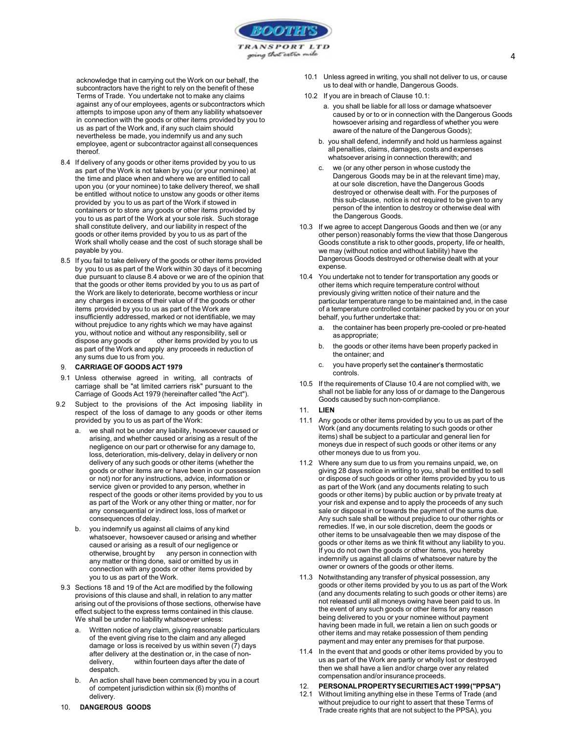

acknowledge that in carrying out the Work on our behalf, the subcontractors have the right to rely on the benefit of these **the set of the set of the set of Trade.** You undertake not to make any claims **10.2** If you are in breach of Clause 10.1: Terms of Trade. You undertake not to make any claims against any of our employees, agents or subcontractors which attempts to impose upon any of them any liability whatsoever in connection with the goods or other items provided by you to us as part of the Work and, if any such claim should nevertheless be made, you indemnify us and any such employee, agent or subcontractor against all consequences thereof.

- whatsoever arising in connection therewith; and<br>8.4 If delivery of any goods or other items provided by you to us<br>8.4 If delivery of any other person in whose custody the as part of the Work is not taken by you (or your nominee) at the time and place when and where we are entitled to call upon you (or your nominee) to take delivery thereof, we shall be entitled without notice to unstow any goods or other items provided by you to us as part of the Work if stowed in containers or to store any goods or other items provided by you to us as part of the Work at your sole risk. Such storage shall constitute delivery, and our liability in respect of the goods or other items provided by you to us as part of the Work shall wholly cease and the cost of such storage shall be payable by you.
- 8.5 If you fail to take delivery of the goods or other items provided by you to us as part of the Work within 30 days of it becoming due pursuant to clause 8.4 above or we are of the opinion that that the goods or other items provided by you to us as part of the Work are likely to deteriorate, become worthless or incur any charges in excess of their value of if the goods or other items provided by you to us as part of the Work are insufficiently addressed, marked or not identifiable, we may without prejudice to any rights which we may have against a you, without notice and without any responsibility, sell or dispose any goods or other items provided by you to us<br>as not of the Wark and apply any proceeds in reduction of as part of the Work and apply any proceeds in reduction of **Example 2011** b. The goods or other<br>the ontainer; and<br>the ontainer; and any sums due to us from you.

### 9. CARRIAGE OF GOODS ACT 1979

- 9.1 Unless otherwise agreed in writing, all contracts of carriage shall be "at limited carriers risk" pursuant to the Carriage of Goods Act 1979 (hereinafter called "the Act").
- 9.2 Subject to the provisions of the Act imposing liability in  $\frac{6000}{2000}$ respect of the loss of damage to any goods or other items provided by you to us as part of the Work:
	- a. we shall not be under any liability, howsoever caused or arising, and whether caused or arising as a result of the negligence on our part or otherwise for any damage to, loss, deterioration, mis-delivery, delay in delivery or non delivery of any such goods or other items (whether the goods or other items are or have been in our possession or not) nor for any instructions, advice, information or service given or provided to any person, whether in respect of the goods or other items provided by you to us as part of the Work or any other thing or matter, nor for any consequential or indirect loss, loss of market or consequences of delay.
	- b. you indemnify us against all claims of any kind whatsoever, howsoever caused or arising and whether caused or arising as a result of our negligence or otherwise, brought by any person in connection with any matter or thing done, said or omitted by us in connection with any goods or other items provided by you to us as part of the Work.
- 9.3 Sections 18 and 19 of the Act are modified by the following provisions of this clause and shall, in relation to any matter arising out of the provisions of those sections, otherwise have effect subject to the express terms contained in this clause. We shall be under no liability whatsoever unless:<br>a. Written notice of any claim, giving reasonable particulars
	- of the event giving rise to the claim and any alleged damage or loss is received by us within seven (7) days after delivery at the destination or, in the case of nondelivery, within fourteen days after the date of despatch.
	- b. An action shall have been commenced by you in a court<br>of competent iurisdiction within  $\sin(6)$  months of  $\frac{12}{12}$ of competent jurisdiction within six  $(6)$  months of  $12.1$ <br>delivery delivery.
- 10.1 Unless agreed in writing, you shall not deliver to us, or cause us to deal with or handle, Dangerous Goods.
- - a. you shall be liable for all loss or damage whatsoever caused by or to or in connection with the Dangerous Goods howsoever arising and regardless of whether you were aware of the nature of the Dangerous Goods);
	- b. you shall defend, indemnify and hold us harmless against all penalties, claims, damages, costs and expenses
	- we (or any other person in whose custody the Dangerous Goods may be in at the relevant time) may, at our sole discretion, have the Dangerous Goods destroyed or otherwise dealt with. For the purposes of this sub-clause, notice is not required to be given to any person of the intention to destroy or otherwise deal with the Dangerous Goods.
- 10.3 If we agree to accept Dangerous Goods and then we (or any other person) reasonably forms the view that those Dangerous Goods constitute a risk to other goods, property, life or health, we may (without notice and without liability) have the Dangerous Goods destroyed or otherwise dealt with at your expense.
- 10.4 You undertake not to tender for transportation any goods or other items which require temperature control without previously giving written notice of their nature and the particular temperature range to be maintained and, in the case of a temperature controlled container packed by you or on your
	- the container has been properly pre-cooled or pre-heated as appropriate;
	- the goods or other items have been properly packed in
	- you have properly set the container's thermostatic controls.
- 10.5 If the requirements of Clause 10.4 are not complied with, we shall not be liable for any loss of or damage to the Dangerous Goods caused by such non-compliance.

#### 11. LIEN

- 11.1 Any goods or other items provided by you to us as part of the Work (and any documents relating to such goods or other items) shall be subject to a particular and general lien for moneys due in respect of such goods or other items or any other moneys due to us from you.
- 11.2 Where any sum due to us from you remains unpaid, we, on giving 28 days notice in writing to you, shall be entitled to sell or dispose of such goods or other items provided by you to us as part of the Work (and any documents relating to such goods or other items) by public auction or by private treaty at your risk and expense and to apply the proceeds of any such sale or disposal in or towards the payment of the sums due. Any such sale shall be without prejudice to our other rights or remedies. If we, in our sole discretion, deem the goods or other items to be unsalvageable then we may dispose of the goods or other items as we think fit without any liability to you. If you do not own the goods or other items, you hereby indemnify us against all claims of whatsoever nature by the owner or owners of the goods or other items.
- 11.3 Notwithstanding any transfer of physical possession, any goods or other items provided by you to us as part of the Work (and any documents relating to such goods or other items) are not released until all moneys owing have been paid to us. In the event of any such goods or other items for any reason being delivered to you or your nominee without payment having been made in full, we retain a lien on such goods or other items and may retake possession of them pending payment and may enter any premises for that purpose.
- 11.4 In the event that and goods or other items provided by you to us as part of the Work are partly or wholly lost or destroyed then we shall have a lien and/or charge over any related compensation and/or insurance proceeds.

# 12. PERSONAL PROPERTY SECURITIES ACT 1999 ("PPSA")

Without limiting anything else in these Terms of Trade (and without prejudice to our right to assert that these Terms of Trade create rights that are not subject to the PPSA), you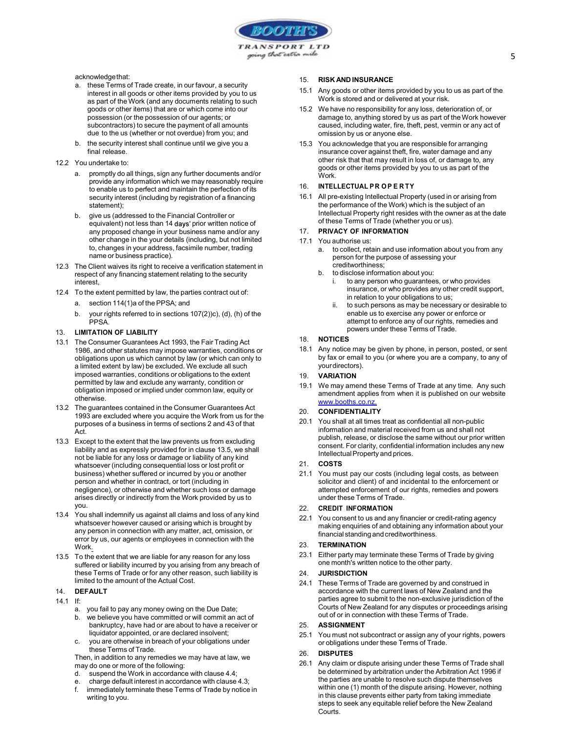

- acknowledge that:<br>a. these Terms of Trade create, in our favour, a security **computer of the security** interest in all goods or other items provided by you to us as part of the Work (and any documents relating to such goods or other items) that are or which come into our possession (or the possession of our agents; or subcontractors) to secure the payment of all amounts due to the us (whether or not overdue) from you; and
- b. the security interest shall continue until we give you a final release.
- 
- 12.2 You undertake to:<br>a. promptly do all things, sign any further documents and/or provide any information which we may reasonably require<br>to opehlo us to perfect and maintain the perfection of its and the UNITELLECTUAL PROPERTY to enable us to perfect and maintain the perfection of its security interest (including by registration of a financing statement);
	- b. give us (addressed to the Financial Controller or equivalent) not less than 14 days' prior written notice of any proposed change in your business name and/or any other change in the your details (including, but not limited to, changes in your address, facsimile number, trading name or business practice).
- 12.3 The Client waives its right to receive a verification statement in<br>respect of any financing statement relating to the security respect of any financing statement relating to the security interest,
- 12.4 To the extent permitted by law, the parties contract out of:<br>a. section 114(1)a of the PPSA; and
	- - b. your rights referred to in sections 107(2))c), (d), (h) of the PPSA.

#### 13. LIMITATION OF LIABILITY

- 13.1 The Consumer Guarantees Act 1993, the Fair Trading Act 1986, and other statutes may impose warranties, conditions or obligations upon us which cannot by law (or which can only to a limited extent by law) be excluded. We exclude all such imposed warranties, conditions or obligations to the extent permitted by law and exclude any warranty, condition or obligation imposed or implied under common law, equity or otherwise.
- 13.2 The guarantees contained in the Consumer Guarantees Act 1993 are excluded where you acquire the Work from us for the purposes of a business in terms of sections 2 and 43 of that Act.
- 13.3 Except to the extent that the law prevents us from excluding liability and as expressly provided for in clause 13.5, we shall not be liable for any loss or damage or liability of any kind<br>whatsoever (including consequential loss or lost profit or  $21.$  COSTS whatsoever (including consequential loss or lost profit or business) whether suffered or incurred by you or another person and whether in contract, or tort (including in negligence), or otherwise and whether such loss or damage arises directly or indirectly from the Work provided by us to you.
- 13.4 You shall indemnify us against all claims and loss of any kind whatsoever however caused or arising which is brought by any person in connection with any matter, act, omission, or error by us, our agents or employees in connection with the<br>Work Work.
- 13.5 To the extent that we are liable for any reason for any loss suffered or liability incurred by you arising from any breach of these Terms of Trade or for any other reason, such liability is limited to the amount of the Actual Cost.

### 14. DEFAULT

- 14.1 If: a. you fail to pay any money owing on the Due Date;
	- b. we believe you have committed or will commit an act of bankruptcy, have had or are about to have a receiver or  $25.$ <br>Ijquidator appointed, or are declared insolvent:  $25.1$
	- you are otherwise in breach of your obligations under these Terms of Trade.

Then, in addition to any remedies we may have at law, we assessed to the set of the set of the set of the set of the set of the set of the set of the set of the set of the set of the set of the set of the set of the set of may do one or more of the following:

- d. suspend the Work in accordance with clause 4.4; e. charge default interest in accordance with clause 4.3;
- 
- f. immediately terminate these Terms of Trade by notice in writing to you.

## **RISK AND INSURANCE**

- 15.1 Any goods or other items provided by you to us as part of the Work is stored and or delivered at your risk.
- 15.2 We have no responsibility for any loss, deterioration of, or damage to, anything stored by us as part of the Work however caused, including water, fire, theft, pest, vermin or any act of omission by us or anyone else.
- 15.3 You acknowledge that you are responsible for arranging insurance cover against theft, fire, water damage and any other risk that that may result in loss of, or damage to, any goods or other items provided by you to us as part of the **Work** 16. **EXERCT AND INSURANCE**<br>
16. **RISK AND INSURANCE**<br>
16. **RISK AND INSURANCE**<br>
16. *Any* goods or other items provided by you to us as part of the<br>
16. We have no responsibility for any loss, deterioration of, or<br>
16. **da**

16.1 All pre-existing Intellectual Property (used in or arising from the performance of the Work) which is the subject of an Intellectual Property right resides with the owner as at the date of these Terms of Trade (whether you or us).

# PRIVACY OF INFORMATION

- - a. to collect, retain and use information about you from any person for the purpose of assessing your creditworthiness;
	- to disclose information about you:
		- i. to any person who guarantees, or who provides insurance, or who provides any other credit support, in relation to your obligations to us;
		- to such persons as may be necessary or desirable to enable us to exercise any power or enforce or attempt to enforce any of our rights, remedies and powers under these Terms of Trade.

### 18. NOTICES

18.1 Any notice may be given by phone, in person, posted, or sent by fax or email to you (or where you are a company, to any of your directors).

### **VARIATION**

19.1 We may amend these Terms of Trade at any time. Any such amendment applies from when it is published on our website www.booths.co.nz.

# **CONFIDENTIALITY**

20.1 You shall at all times treat as confidential all non-public information and material received from us and shall not publish, release, or disclose the same without our prior written consent. For clarity, confidential information includes any new Intellectual Property and prices.

#### 21. COSTS

21.1 You must pay our costs (including legal costs, as between solicitor and client) of and incidental to the enforcement or attempted enforcement of our rights, remedies and powers under these Terms of Trade.

#### 22. CREDIT INFORMATION

22.1 You consent to us and any financier or credit-rating agency making enquiries of and obtaining any information about your financial standing and creditworthiness.

## **TERMINATION**

23.1 Either party may terminate these Terms of Trade by giving one month's written notice to the other party.

#### **JURISDICTION**

24.1 These Terms of Trade are governed by and construed in accordance with the current laws of New Zealand and the parties agree to submit to the non-exclusive jurisdiction of the Courts of New Zealand for any disputes or proceedings arising out of or in connection with these Terms of Trade.

# **ASSIGNMENT**

25.1 You must not subcontract or assign any of your rights, powers or obligations under these Terms of Trade.

#### 26. DISPUTES

26.1 Any claim or dispute arising under these Terms of Trade shall be determined by arbitration under the Arbitration Act 1996 if the parties are unable to resolve such dispute themselves within one (1) month of the dispute arising. However, nothing in this clause prevents either party from taking immediate steps to seek any equitable relief before the New Zealand Courts.